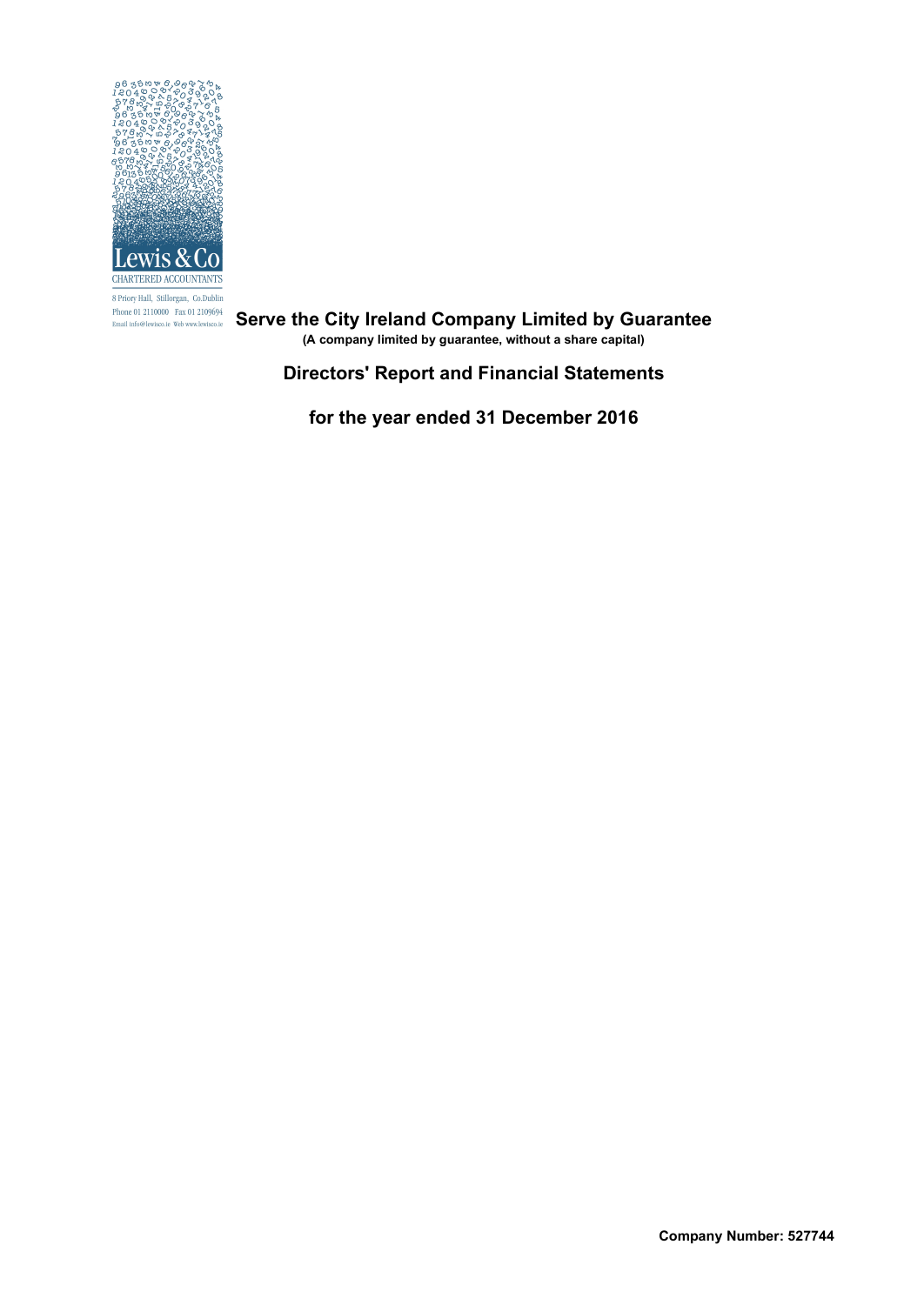

8 Priory Hall, Stillorgan, Co.Dublin  $\begin{array}{ll} \mbox{Phone 01 2110000} & \mbox{Fax 01 2109694} \\ \mbox{Email info@lewisco.ie} & \mbox{Web www.lewisco.ie} \end{array}$ 

**Serve the City Ireland Company Limited by Guarantee**

**(A company limited by guarantee, without a share capital)**

**Directors' Report and Financial Statements**

**for the year ended 31 December 2016**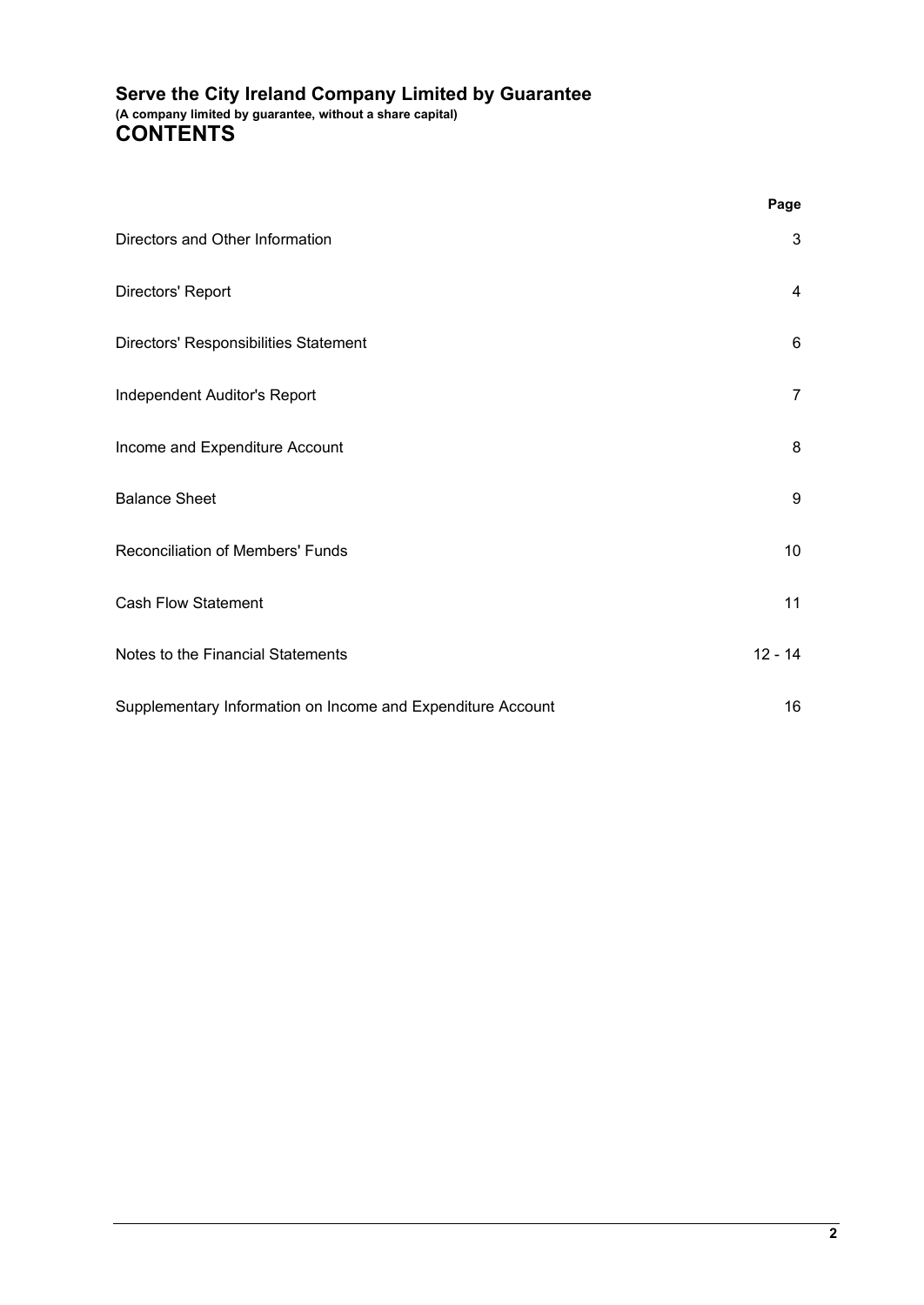# **Serve the City Ireland Company Limited by Guarantee (A company limited by guarantee, without a share capital) CONTENTS**

|                                                             | Page            |  |
|-------------------------------------------------------------|-----------------|--|
| Directors and Other Information                             | $\mathbf{3}$    |  |
| Directors' Report                                           | 4               |  |
| Directors' Responsibilities Statement                       | $6\phantom{1}6$ |  |
| Independent Auditor's Report                                | $\overline{7}$  |  |
| Income and Expenditure Account                              | 8               |  |
| <b>Balance Sheet</b>                                        | 9               |  |
| Reconciliation of Members' Funds                            | 10              |  |
| <b>Cash Flow Statement</b>                                  | 11              |  |
| Notes to the Financial Statements                           | $12 - 14$       |  |
| Supplementary Information on Income and Expenditure Account | 16              |  |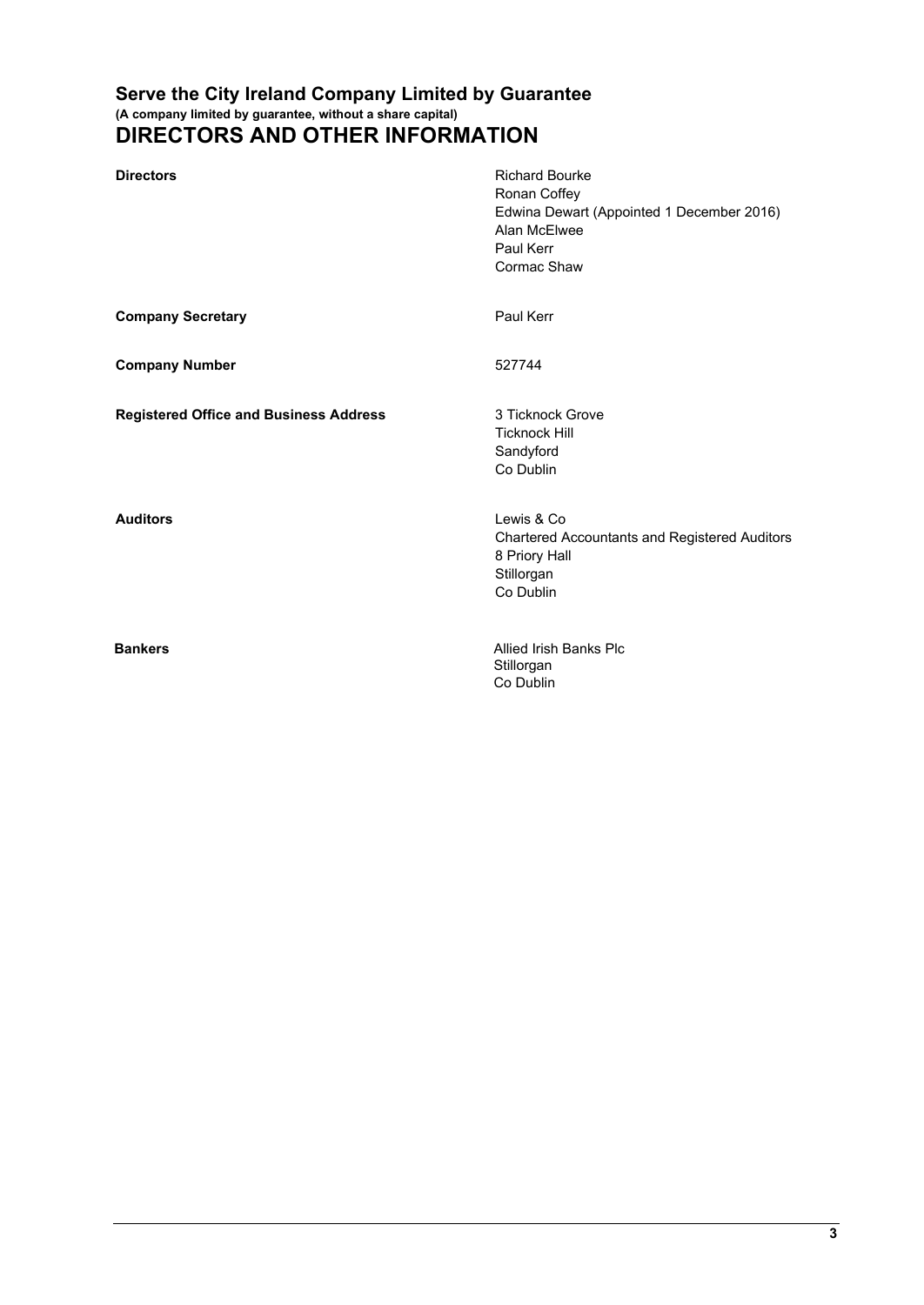## **Serve the City Ireland Company Limited by Guarantee (A company limited by guarantee, without a share capital) DIRECTORS AND OTHER INFORMATION**

| <b>Directors</b>                              | <b>Richard Bourke</b><br>Ronan Coffey<br>Edwina Dewart (Appointed 1 December 2016)<br>Alan McElwee<br>Paul Kerr<br>Cormac Shaw |
|-----------------------------------------------|--------------------------------------------------------------------------------------------------------------------------------|
| <b>Company Secretary</b>                      | Paul Kerr                                                                                                                      |
| <b>Company Number</b>                         | 527744                                                                                                                         |
| <b>Registered Office and Business Address</b> | 3 Ticknock Grove<br><b>Ticknock Hill</b><br>Sandyford<br>Co Dublin                                                             |
| <b>Auditors</b>                               | Lewis & Co<br><b>Chartered Accountants and Registered Auditors</b><br>8 Priory Hall<br>Stillorgan<br>Co Dublin                 |
| <b>Bankers</b>                                | Allied Irish Banks Plc<br>Stillorgan<br>Co Dublin                                                                              |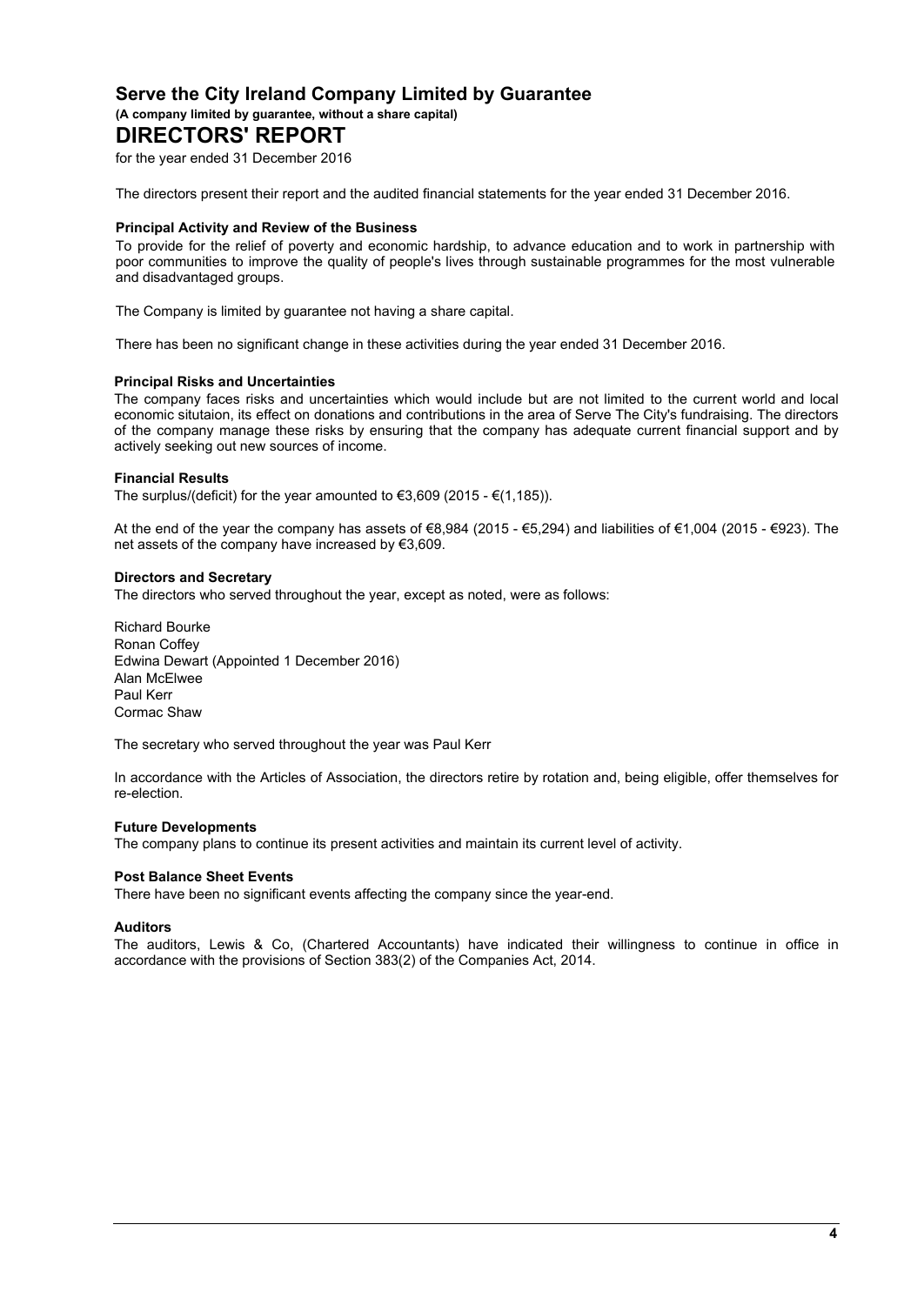**(A company limited by guarantee, without a share capital)**

# **DIRECTORS' REPORT**

for the year ended 31 December 2016

The directors present their report and the audited financial statements for the year ended 31 December 2016.

#### **Principal Activity and Review of the Business**

To provide for the relief of poverty and economic hardship, to advance education and to work in partnership with poor communities to improve the quality of people's lives through sustainable programmes for the most vulnerable and disadvantaged groups.

The Company is limited by guarantee not having a share capital.

There has been no significant change in these activities during the year ended 31 December 2016.

#### **Principal Risks and Uncertainties**

The company faces risks and uncertainties which would include but are not limited to the current world and local economic situtaion, its effect on donations and contributions in the area of Serve The City's fundraising. The directors of the company manage these risks by ensuring that the company has adequate current financial support and by actively seeking out new sources of income.

#### **Financial Results**

The surplus/(deficit) for the year amounted to  $\epsilon$ 3,609 (2015 -  $\epsilon$ (1,185)).

At the end of the year the company has assets of €8,984 (2015 - €5,294) and liabilities of €1,004 (2015 - €923). The net assets of the company have increased by €3,609.

#### **Directors and Secretary**

The directors who served throughout the year, except as noted, were as follows:

Richard Bourke Ronan Coffey Edwina Dewart (Appointed 1 December 2016) Alan McElwee Paul Kerr Cormac Shaw

The secretary who served throughout the year was Paul Kerr

In accordance with the Articles of Association, the directors retire by rotation and, being eligible, offer themselves for re-election.

#### **Future Developments**

The company plans to continue its present activities and maintain its current level of activity.

#### **Post Balance Sheet Events**

There have been no significant events affecting the company since the year-end.

#### **Auditors**

The auditors, Lewis & Co, (Chartered Accountants) have indicated their willingness to continue in office in accordance with the provisions of Section 383(2) of the Companies Act, 2014.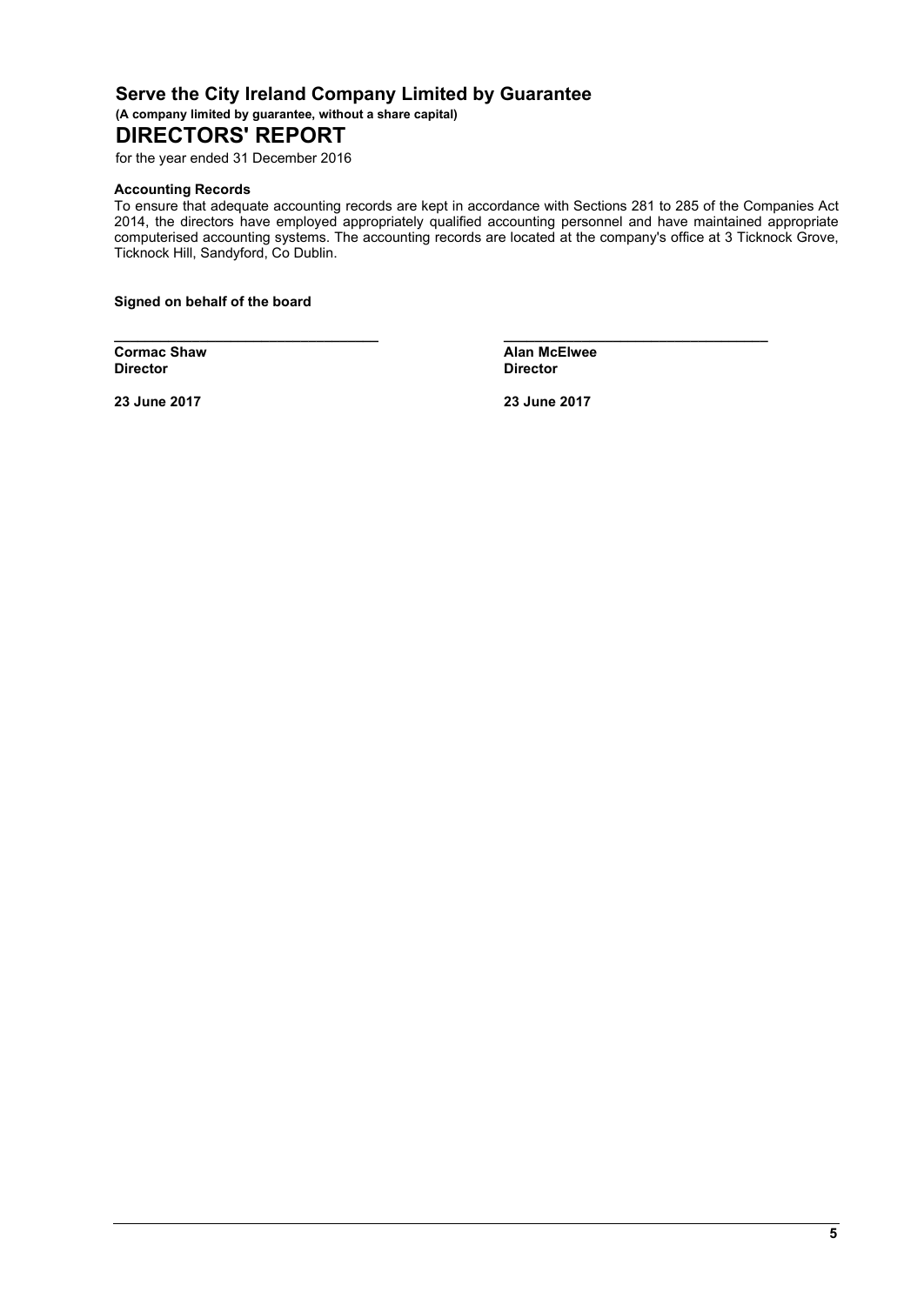**(A company limited by guarantee, without a share capital)**

# **DIRECTORS' REPORT**

for the year ended 31 December 2016

#### **Accounting Records**

To ensure that adequate accounting records are kept in accordance with Sections 281 to 285 of the Companies Act 2014, the directors have employed appropriately qualified accounting personnel and have maintained appropriate computerised accounting systems. The accounting records are located at the company's office at 3 Ticknock Grove, Ticknock Hill, Sandyford, Co Dublin.

**\_\_\_\_\_\_\_\_\_\_\_\_\_\_\_\_\_\_\_\_\_\_\_\_\_\_\_\_\_\_\_\_\_\_ \_\_\_\_\_\_\_\_\_\_\_\_\_\_\_\_\_\_\_\_\_\_\_\_\_\_\_\_\_\_\_\_\_\_**

**Signed on behalf of the board**

**Cormac Shaw Alan McElwee**<br> **Director Alan McElwee Director Director**

**23 June 2017 23 June 2017**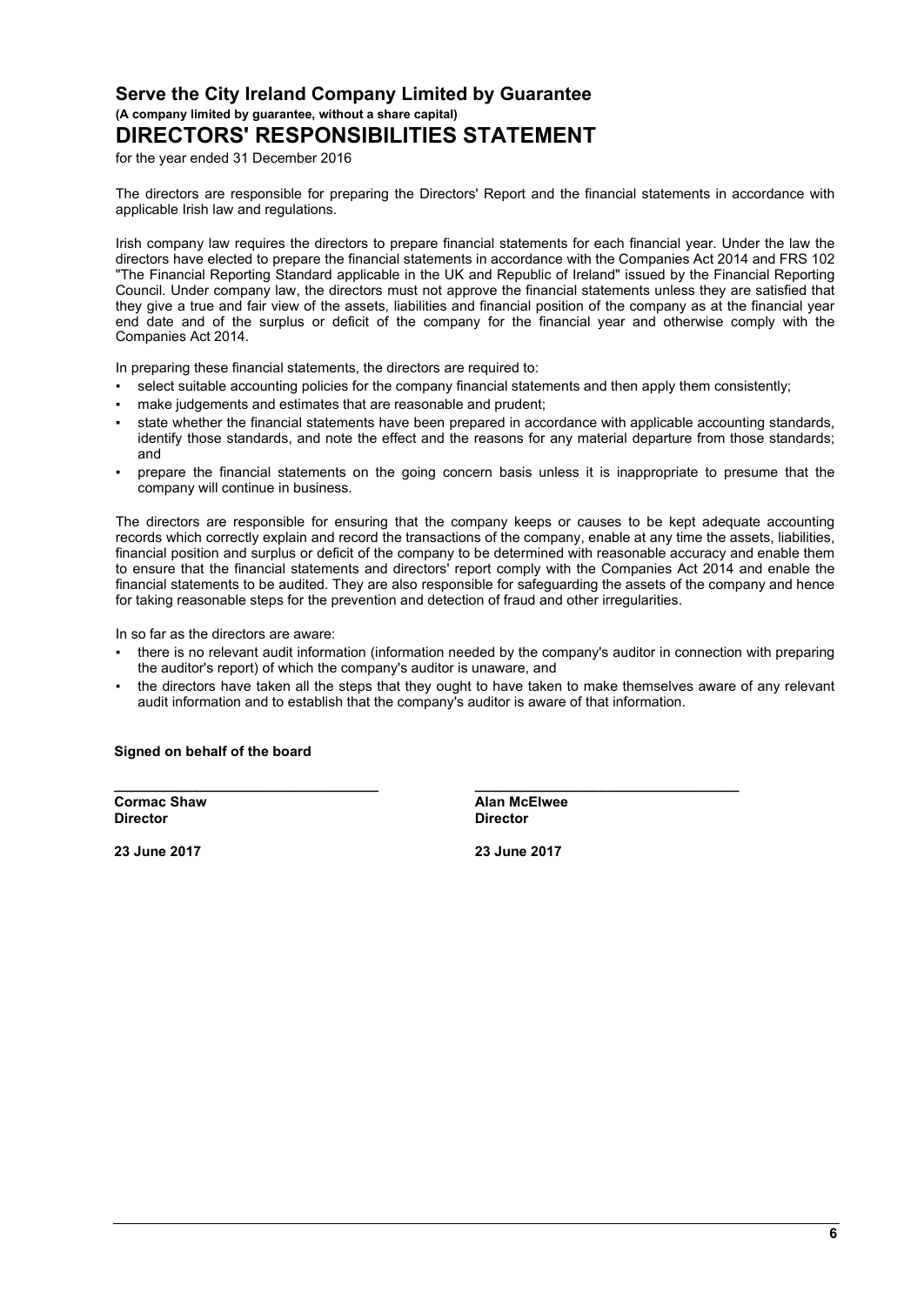**(A company limited by guarantee, without a share capital)**

# **DIRECTORS' RESPONSIBILITIES STATEMENT**

for the year ended 31 December 2016

The directors are responsible for preparing the Directors' Report and the financial statements in accordance with applicable Irish law and regulations.

Irish company law requires the directors to prepare financial statements for each financial year. Under the law the directors have elected to prepare the financial statements in accordance with the Companies Act 2014 and FRS 102 "The Financial Reporting Standard applicable in the UK and Republic of Ireland" issued by the Financial Reporting Council. Under company law, the directors must not approve the financial statements unless they are satisfied that they give a true and fair view of the assets, liabilities and financial position of the company as at the financial year end date and of the surplus or deficit of the company for the financial year and otherwise comply with the Companies Act 2014.

In preparing these financial statements, the directors are required to:

- select suitable accounting policies for the company financial statements and then apply them consistently;
- make judgements and estimates that are reasonable and prudent;
- state whether the financial statements have been prepared in accordance with applicable accounting standards, identify those standards, and note the effect and the reasons for any material departure from those standards; and
- prepare the financial statements on the going concern basis unless it is inappropriate to presume that the company will continue in business.

The directors are responsible for ensuring that the company keeps or causes to be kept adequate accounting records which correctly explain and record the transactions of the company, enable at any time the assets, liabilities, financial position and surplus or deficit of the company to be determined with reasonable accuracy and enable them to ensure that the financial statements and directors' report comply with the Companies Act 2014 and enable the financial statements to be audited. They are also responsible for safeguarding the assets of the company and hence for taking reasonable steps for the prevention and detection of fraud and other irregularities.

In so far as the directors are aware:

- there is no relevant audit information (information needed by the company's auditor in connection with preparing the auditor's report) of which the company's auditor is unaware, and
- the directors have taken all the steps that they ought to have taken to make themselves aware of any relevant audit information and to establish that the company's auditor is aware of that information.

**\_\_\_\_\_\_\_\_\_\_\_\_\_\_\_\_\_\_\_\_\_\_\_\_\_\_\_\_\_\_\_\_\_\_ \_\_\_\_\_\_\_\_\_\_\_\_\_\_\_\_\_\_\_\_\_\_\_\_\_\_\_\_\_\_\_\_\_\_**

#### **Signed on behalf of the board**

**Cormac Shaw Alan McElwee Director Director**

**23 June 2017 23 June 2017**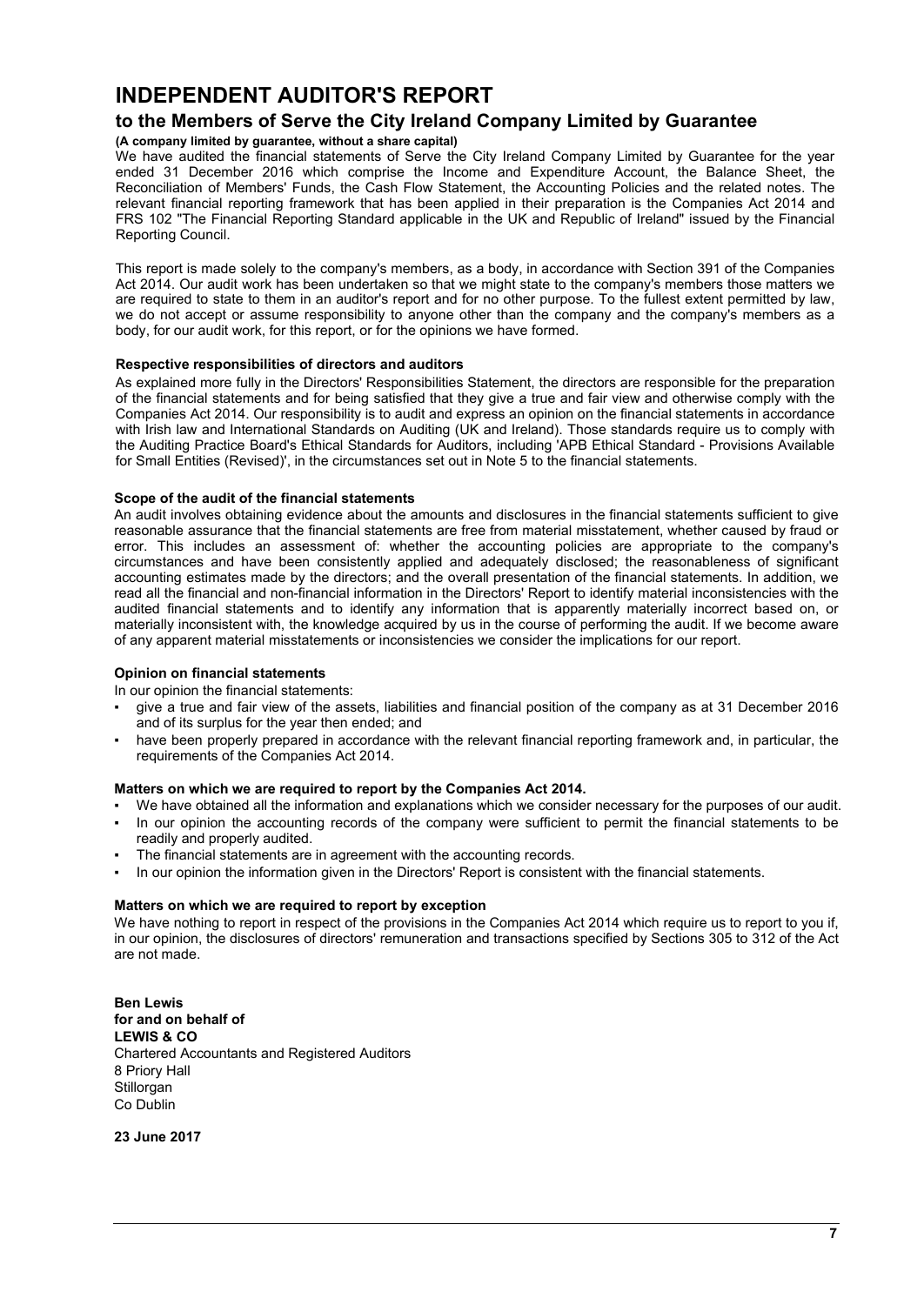# **INDEPENDENT AUDITOR'S REPORT**

### **to the Members of Serve the City Ireland Company Limited by Guarantee**

#### **(A company limited by guarantee, without a share capital)**

We have audited the financial statements of Serve the City Ireland Company Limited by Guarantee for the year ended 31 December 2016 which comprise the Income and Expenditure Account, the Balance Sheet, the Reconciliation of Members' Funds, the Cash Flow Statement, the Accounting Policies and the related notes. The relevant financial reporting framework that has been applied in their preparation is the Companies Act 2014 and FRS 102 "The Financial Reporting Standard applicable in the UK and Republic of Ireland" issued by the Financial Reporting Council.

This report is made solely to the company's members, as a body, in accordance with Section 391 of the Companies Act 2014. Our audit work has been undertaken so that we might state to the company's members those matters we are required to state to them in an auditor's report and for no other purpose. To the fullest extent permitted by law, we do not accept or assume responsibility to anyone other than the company and the company's members as a body, for our audit work, for this report, or for the opinions we have formed.

#### **Respective responsibilities of directors and auditors**

As explained more fully in the Directors' Responsibilities Statement, the directors are responsible for the preparation of the financial statements and for being satisfied that they give a true and fair view and otherwise comply with the Companies Act 2014. Our responsibility is to audit and express an opinion on the financial statements in accordance with Irish law and International Standards on Auditing (UK and Ireland). Those standards require us to comply with the Auditing Practice Board's Ethical Standards for Auditors, including 'APB Ethical Standard - Provisions Available for Small Entities (Revised)', in the circumstances set out in Note 5 to the financial statements.

#### **Scope of the audit of the financial statements**

An audit involves obtaining evidence about the amounts and disclosures in the financial statements sufficient to give reasonable assurance that the financial statements are free from material misstatement, whether caused by fraud or error. This includes an assessment of: whether the accounting policies are appropriate to the company's circumstances and have been consistently applied and adequately disclosed; the reasonableness of significant accounting estimates made by the directors; and the overall presentation of the financial statements. In addition, we read all the financial and non-financial information in the Directors' Report to identify material inconsistencies with the audited financial statements and to identify any information that is apparently materially incorrect based on, or materially inconsistent with, the knowledge acquired by us in the course of performing the audit. If we become aware of any apparent material misstatements or inconsistencies we consider the implications for our report.

#### **Opinion on financial statements**

In our opinion the financial statements:

- give a true and fair view of the assets, liabilities and financial position of the company as at 31 December 2016 and of its surplus for the year then ended; and
- have been properly prepared in accordance with the relevant financial reporting framework and, in particular, the requirements of the Companies Act 2014.

#### **Matters on which we are required to report by the Companies Act 2014.**

- We have obtained all the information and explanations which we consider necessary for the purposes of our audit.
- In our opinion the accounting records of the company were sufficient to permit the financial statements to be readily and properly audited.
- The financial statements are in agreement with the accounting records.
- In our opinion the information given in the Directors' Report is consistent with the financial statements.

#### **Matters on which we are required to report by exception**

We have nothing to report in respect of the provisions in the Companies Act 2014 which require us to report to you if, in our opinion, the disclosures of directors' remuneration and transactions specified by Sections 305 to 312 of the Act are not made.

**Ben Lewis for and on behalf of LEWIS & CO** Chartered Accountants and Registered Auditors 8 Priory Hall **Stillorgan** Co Dublin

**23 June 2017**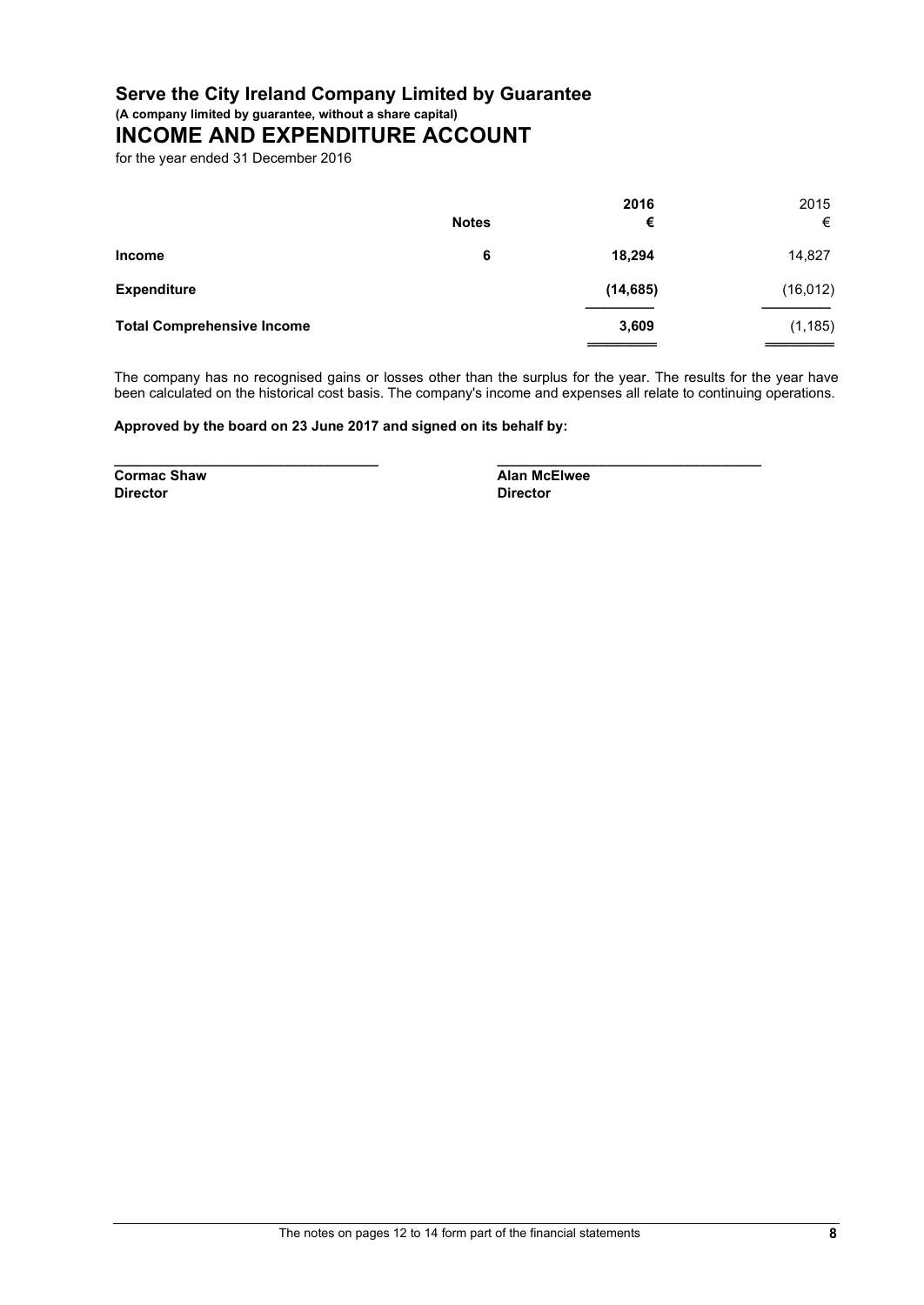**(A company limited by guarantee, without a share capital)**

# **INCOME AND EXPENDITURE ACCOUNT**

for the year ended 31 December 2016

|                                   | <b>Notes</b> | 2016<br>€ | 2015<br>€ |
|-----------------------------------|--------------|-----------|-----------|
| Income                            | 6            | 18,294    | 14,827    |
| <b>Expenditure</b>                |              | (14, 685) | (16, 012) |
| <b>Total Comprehensive Income</b> |              | 3,609     | (1, 185)  |
|                                   |              |           |           |

The company has no recognised gains or losses other than the surplus for the year. The results for the year have been calculated on the historical cost basis. The company's income and expenses all relate to continuing operations.

**\_\_\_\_\_\_\_\_\_\_\_\_\_\_\_\_\_\_\_\_\_\_\_\_\_\_\_\_\_\_\_\_\_\_ \_\_\_\_\_\_\_\_\_\_\_\_\_\_\_\_\_\_\_\_\_\_\_\_\_\_\_\_\_\_\_\_\_\_**

**Approved by the board on 23 June 2017 and signed on its behalf by:**

**Cormac Shaw Alan McElwee**<br> **Alan McElwee**<br> **Director Director Director**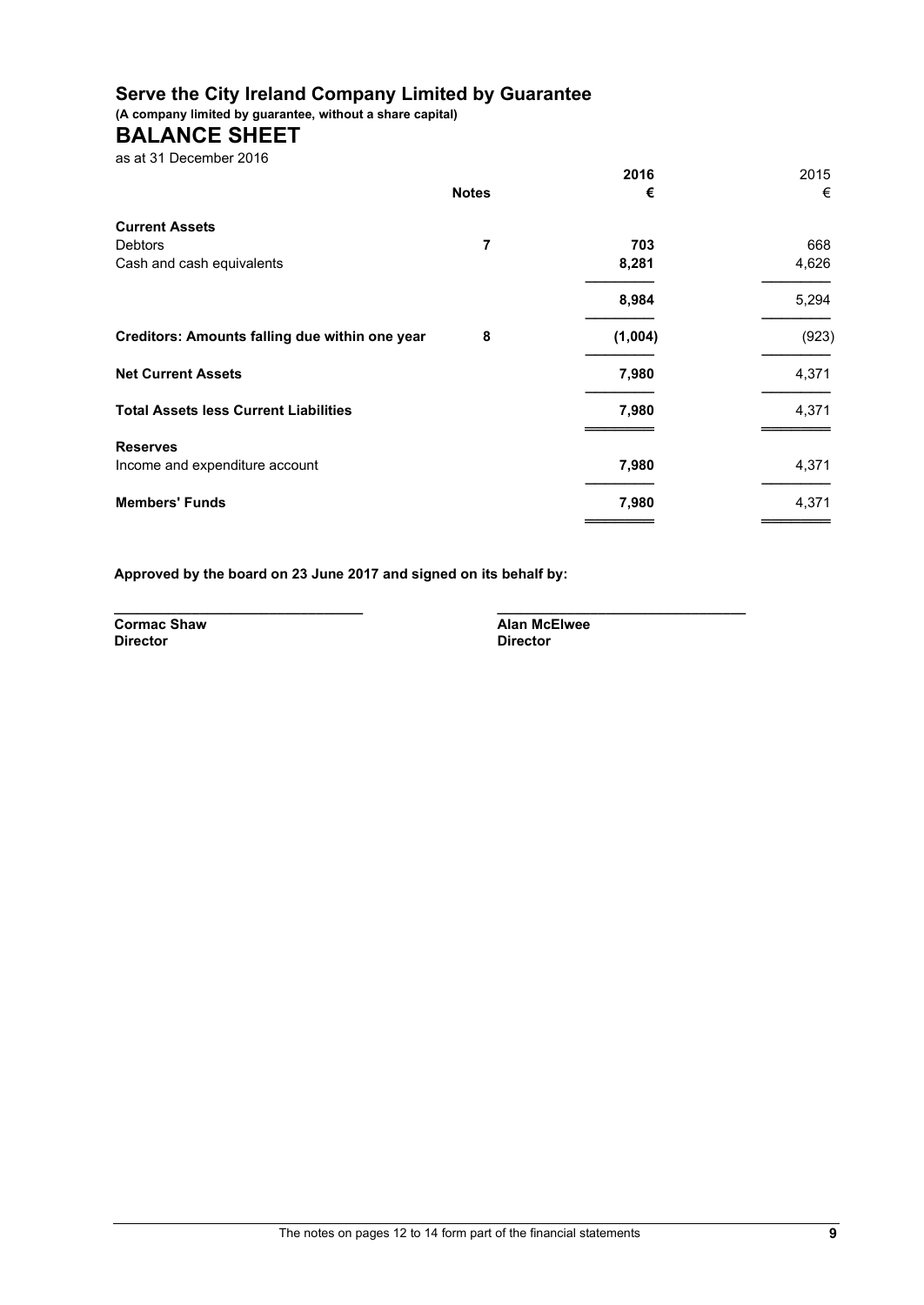**(A company limited by guarantee, without a share capital)**

# **BALANCE SHEET**

as at 31 December 2016

|                                                |              | 2016    | 2015  |
|------------------------------------------------|--------------|---------|-------|
|                                                | <b>Notes</b> | €       | €     |
| <b>Current Assets</b>                          |              |         |       |
| <b>Debtors</b>                                 | 7            | 703     | 668   |
| Cash and cash equivalents                      |              | 8,281   | 4,626 |
|                                                |              | 8,984   | 5,294 |
| Creditors: Amounts falling due within one year | 8            | (1,004) | (923) |
| <b>Net Current Assets</b>                      |              | 7,980   | 4,371 |
| <b>Total Assets less Current Liabilities</b>   |              | 7,980   | 4,371 |
| <b>Reserves</b>                                |              |         |       |
| Income and expenditure account                 |              | 7,980   | 4,371 |
| <b>Members' Funds</b>                          |              | 7,980   | 4,371 |
|                                                |              |         |       |

**Approved by the board on 23 June 2017 and signed on its behalf by:**

**Director Director**

**\_\_\_\_\_\_\_\_\_\_\_\_\_\_\_\_\_\_\_\_\_\_\_\_\_\_\_\_\_\_\_\_ \_\_\_\_\_\_\_\_\_\_\_\_\_\_\_\_\_\_\_\_\_\_\_\_\_\_\_\_\_\_\_\_ Cormac Shaw Cormac Shaw Alan McElwee Director**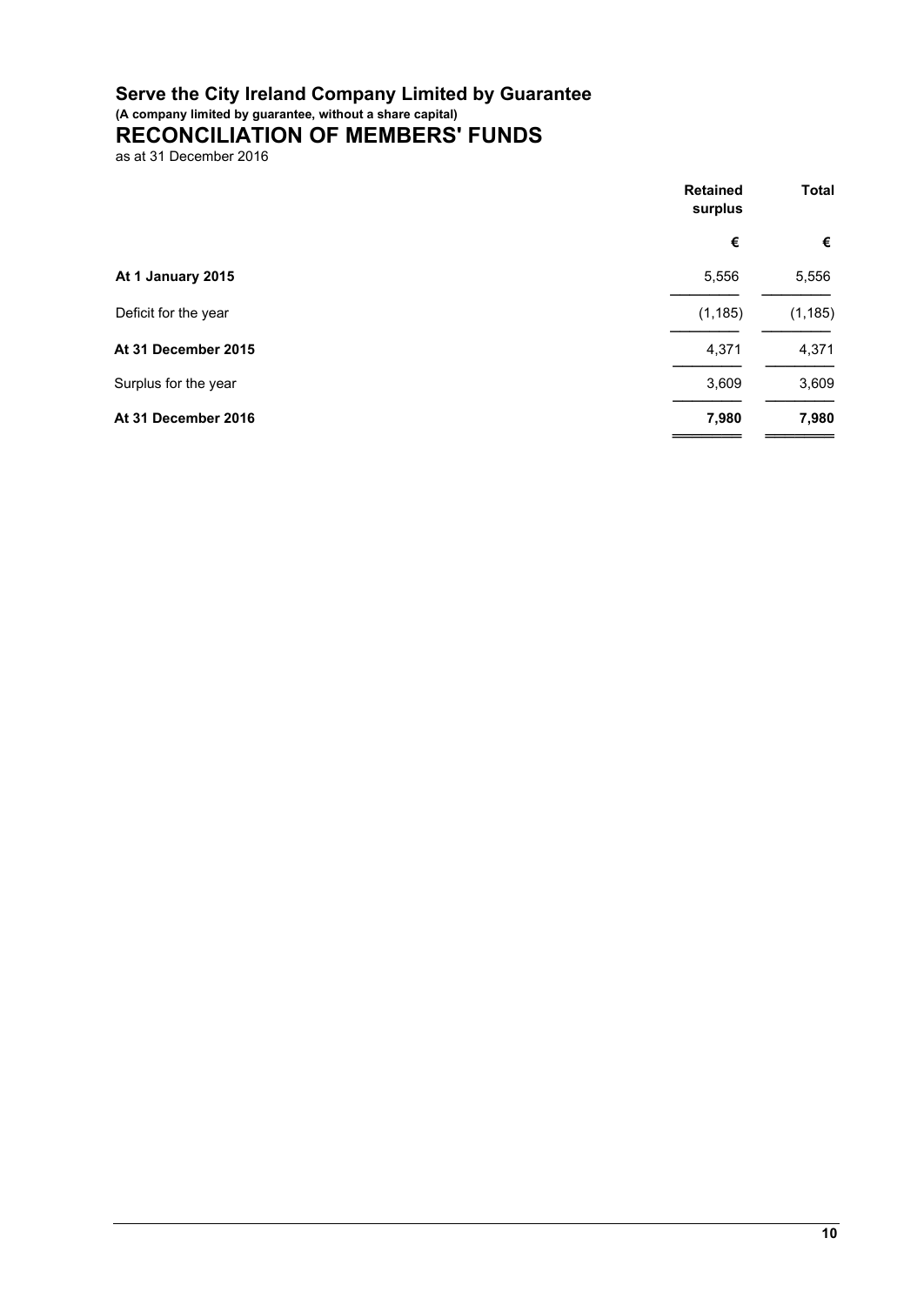**(A company limited by guarantee, without a share capital)**

# **RECONCILIATION OF MEMBERS' FUNDS**

as at 31 December 2016

|                      | <b>Retained</b><br>surplus | <b>Total</b> |
|----------------------|----------------------------|--------------|
|                      | €                          | €            |
| At 1 January 2015    | 5,556                      | 5,556        |
| Deficit for the year | (1, 185)                   | (1, 185)     |
| At 31 December 2015  | 4,371                      | 4,371        |
| Surplus for the year | 3,609                      | 3,609        |
| At 31 December 2016  | 7,980                      | 7,980        |
|                      |                            |              |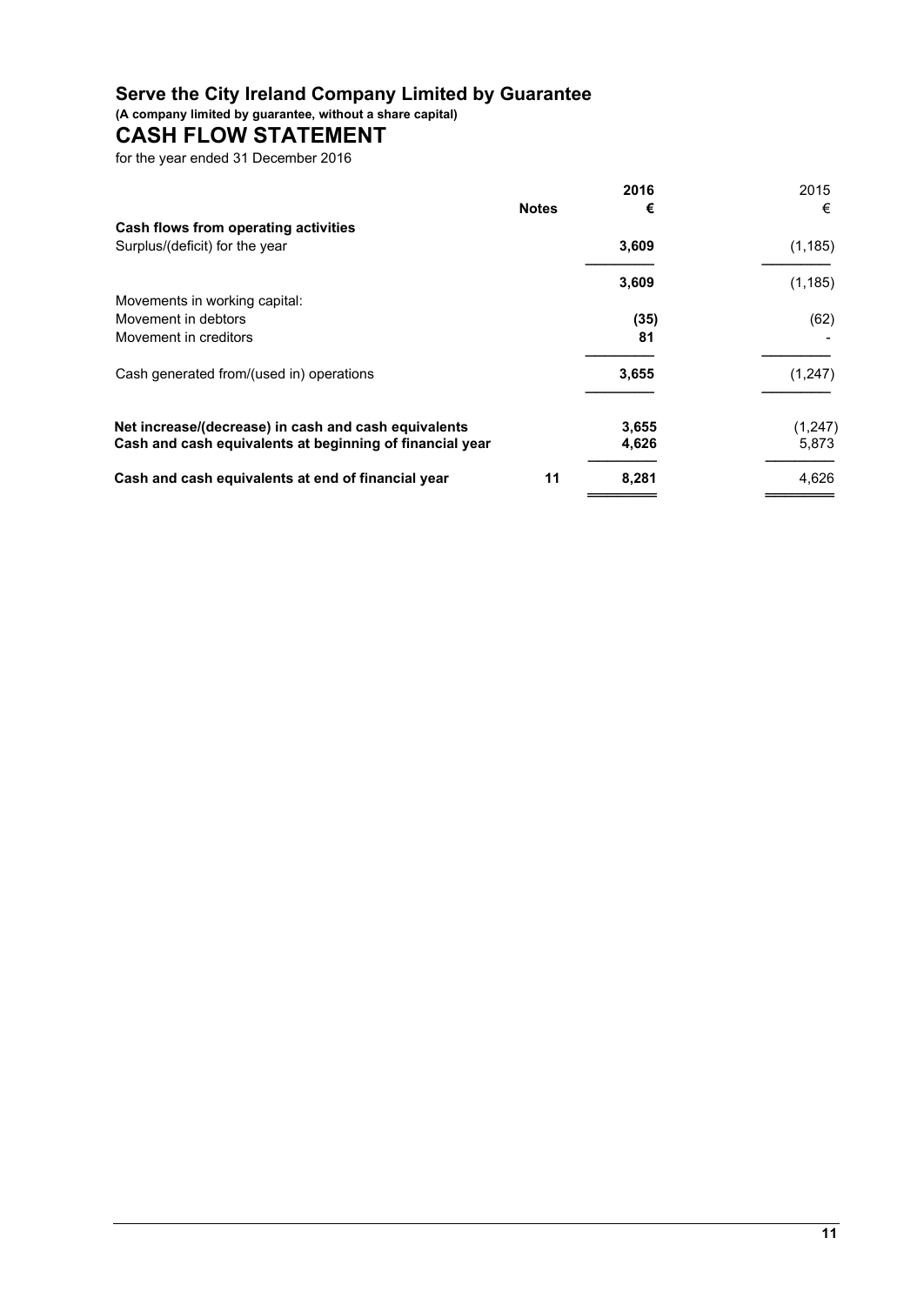**(A company limited by guarantee, without a share capital)**

# **CASH FLOW STATEMENT**

for the year ended 31 December 2016

|                                                          |              | 2016  | 2015     |
|----------------------------------------------------------|--------------|-------|----------|
|                                                          | <b>Notes</b> | €     | €        |
| Cash flows from operating activities                     |              |       |          |
| Surplus/(deficit) for the year                           |              | 3,609 | (1, 185) |
|                                                          |              | 3,609 | (1, 185) |
| Movements in working capital:                            |              |       |          |
| Movement in debtors                                      |              | (35)  | (62)     |
| Movement in creditors                                    |              | 81    |          |
| Cash generated from/(used in) operations                 |              | 3,655 | (1, 247) |
| Net increase/(decrease) in cash and cash equivalents     |              | 3,655 | (1,247)  |
| Cash and cash equivalents at beginning of financial year |              | 4,626 | 5,873    |
| Cash and cash equivalents at end of financial year       | 11           | 8,281 | 4,626    |
|                                                          |              |       |          |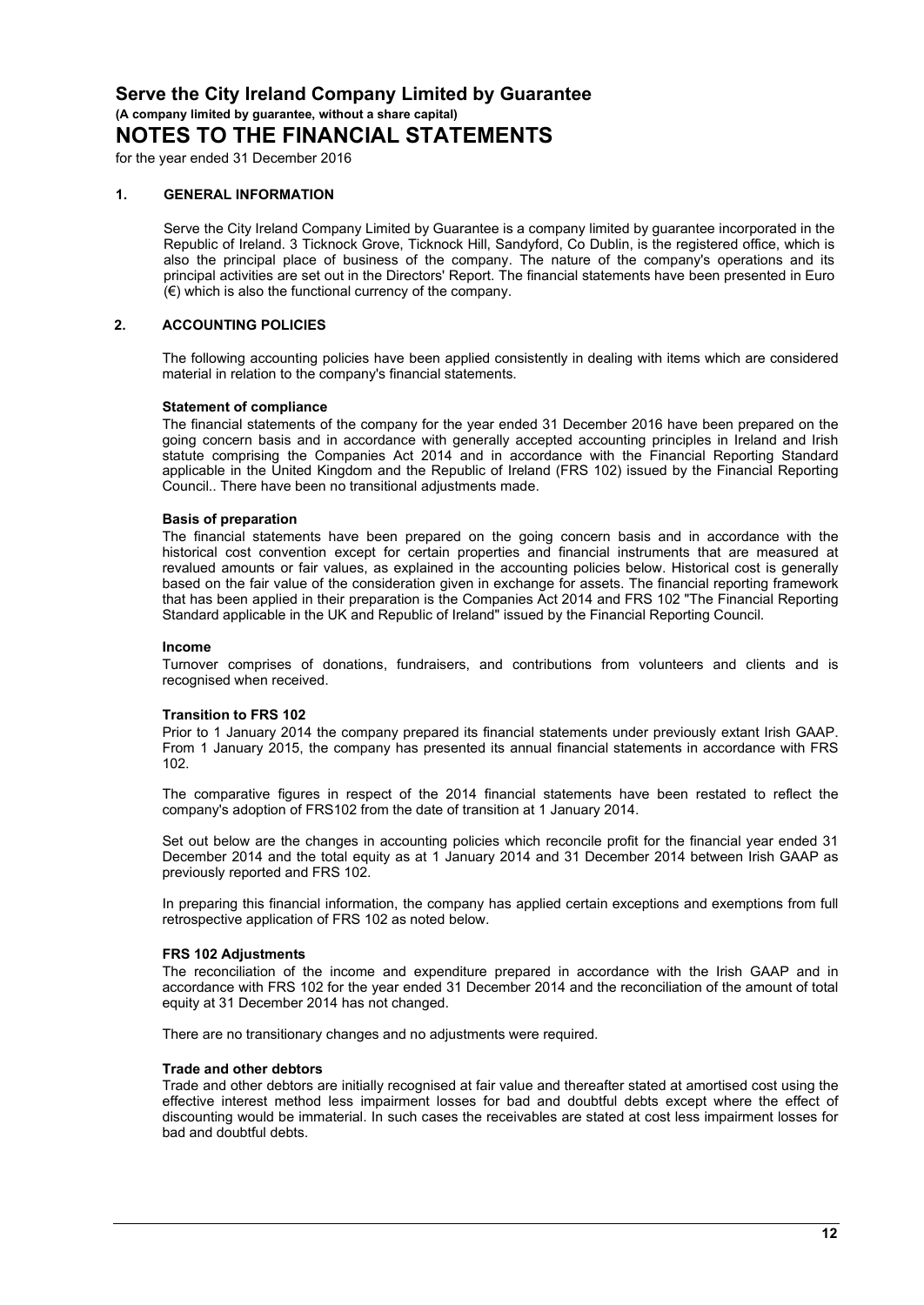**(A company limited by guarantee, without a share capital)**

# **NOTES TO THE FINANCIAL STATEMENTS**

for the year ended 31 December 2016

#### **1. GENERAL INFORMATION**

Serve the City Ireland Company Limited by Guarantee is a company limited by guarantee incorporated in the Republic of Ireland. 3 Ticknock Grove, Ticknock Hill, Sandyford, Co Dublin, is the registered office, which is also the principal place of business of the company. The nature of the company's operations and its principal activities are set out in the Directors' Report. The financial statements have been presented in Euro  $(\epsilon)$  which is also the functional currency of the company.

#### **2. ACCOUNTING POLICIES**

The following accounting policies have been applied consistently in dealing with items which are considered material in relation to the company's financial statements.

#### **Statement of compliance**

The financial statements of the company for the year ended 31 December 2016 have been prepared on the going concern basis and in accordance with generally accepted accounting principles in Ireland and Irish statute comprising the Companies Act 2014 and in accordance with the Financial Reporting Standard applicable in the United Kingdom and the Republic of Ireland (FRS 102) issued by the Financial Reporting Council.. There have been no transitional adjustments made.

#### **Basis of preparation**

The financial statements have been prepared on the going concern basis and in accordance with the historical cost convention except for certain properties and financial instruments that are measured at revalued amounts or fair values, as explained in the accounting policies below. Historical cost is generally based on the fair value of the consideration given in exchange for assets. The financial reporting framework that has been applied in their preparation is the Companies Act 2014 and FRS 102 "The Financial Reporting Standard applicable in the UK and Republic of Ireland" issued by the Financial Reporting Council.

#### **Income**

Turnover comprises of donations, fundraisers, and contributions from volunteers and clients and is recognised when received.

#### **Transition to FRS 102**

Prior to 1 January 2014 the company prepared its financial statements under previously extant Irish GAAP. From 1 January 2015, the company has presented its annual financial statements in accordance with FRS  $102.$ 

The comparative figures in respect of the 2014 financial statements have been restated to reflect the company's adoption of FRS102 from the date of transition at 1 January 2014.

Set out below are the changes in accounting policies which reconcile profit for the financial year ended 31 December 2014 and the total equity as at 1 January 2014 and 31 December 2014 between Irish GAAP as previously reported and FRS 102.

In preparing this financial information, the company has applied certain exceptions and exemptions from full retrospective application of FRS 102 as noted below.

#### **FRS 102 Adjustments**

The reconciliation of the income and expenditure prepared in accordance with the Irish GAAP and in accordance with FRS 102 for the year ended 31 December 2014 and the reconciliation of the amount of total equity at 31 December 2014 has not changed.

There are no transitionary changes and no adjustments were required.

#### **Trade and other debtors**

Trade and other debtors are initially recognised at fair value and thereafter stated at amortised cost using the effective interest method less impairment losses for bad and doubtful debts except where the effect of discounting would be immaterial. In such cases the receivables are stated at cost less impairment losses for bad and doubtful debts.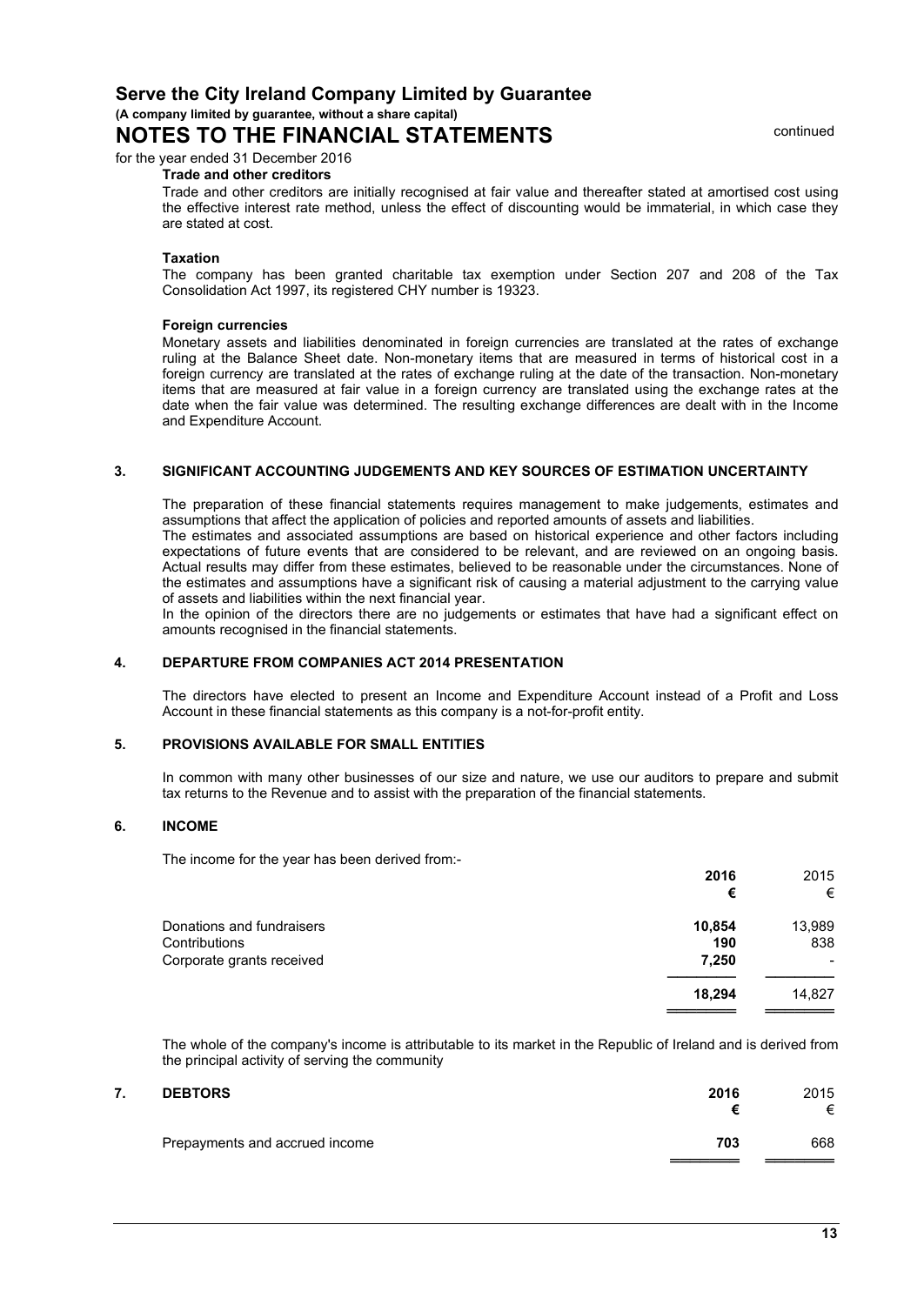**(A company limited by guarantee, without a share capital)**

# **NOTES TO THE FINANCIAL STATEMENTS**

for the year ended 31 December 2016

#### **Trade and other creditors**

Trade and other creditors are initially recognised at fair value and thereafter stated at amortised cost using the effective interest rate method, unless the effect of discounting would be immaterial, in which case they are stated at cost.

#### **Taxation**

The company has been granted charitable tax exemption under Section 207 and 208 of the Tax Consolidation Act 1997, its registered CHY number is 19323.

#### **Foreign currencies**

Monetary assets and liabilities denominated in foreign currencies are translated at the rates of exchange ruling at the Balance Sheet date. Non-monetary items that are measured in terms of historical cost in a foreign currency are translated at the rates of exchange ruling at the date of the transaction. Non-monetary items that are measured at fair value in a foreign currency are translated using the exchange rates at the date when the fair value was determined. The resulting exchange differences are dealt with in the Income and Expenditure Account.

#### **3. SIGNIFICANT ACCOUNTING JUDGEMENTS AND KEY SOURCES OF ESTIMATION UNCERTAINTY**

The preparation of these financial statements requires management to make judgements, estimates and assumptions that affect the application of policies and reported amounts of assets and liabilities.

The estimates and associated assumptions are based on historical experience and other factors including expectations of future events that are considered to be relevant, and are reviewed on an ongoing basis. Actual results may differ from these estimates, believed to be reasonable under the circumstances. None of the estimates and assumptions have a significant risk of causing a material adjustment to the carrying value of assets and liabilities within the next financial year.

In the opinion of the directors there are no judgements or estimates that have had a significant effect on amounts recognised in the financial statements.

#### **4. DEPARTURE FROM COMPANIES ACT 2014 PRESENTATION**

The directors have elected to present an Income and Expenditure Account instead of a Profit and Loss Account in these financial statements as this company is a not-for-profit entity.

#### **5. PROVISIONS AVAILABLE FOR SMALL ENTITIES**

In common with many other businesses of our size and nature, we use our auditors to prepare and submit tax returns to the Revenue and to assist with the preparation of the financial statements.

#### **6. INCOME**

The income for the year has been derived from:-

| 2016<br>€ | 2015<br>€ |  |
|-----------|-----------|--|
| 10,854    | 13,989    |  |
| 190       | 838       |  |
| 7,250     | $\,$      |  |
| 18.294    | 14,827    |  |
|           |           |  |

The whole of the company's income is attributable to its market in the Republic of Ireland and is derived from the principal activity of serving the community

| 7. | <b>DEBTORS</b>                 | 2016 | 2015<br>⊭ |
|----|--------------------------------|------|-----------|
|    | Prepayments and accrued income | 703  | 668       |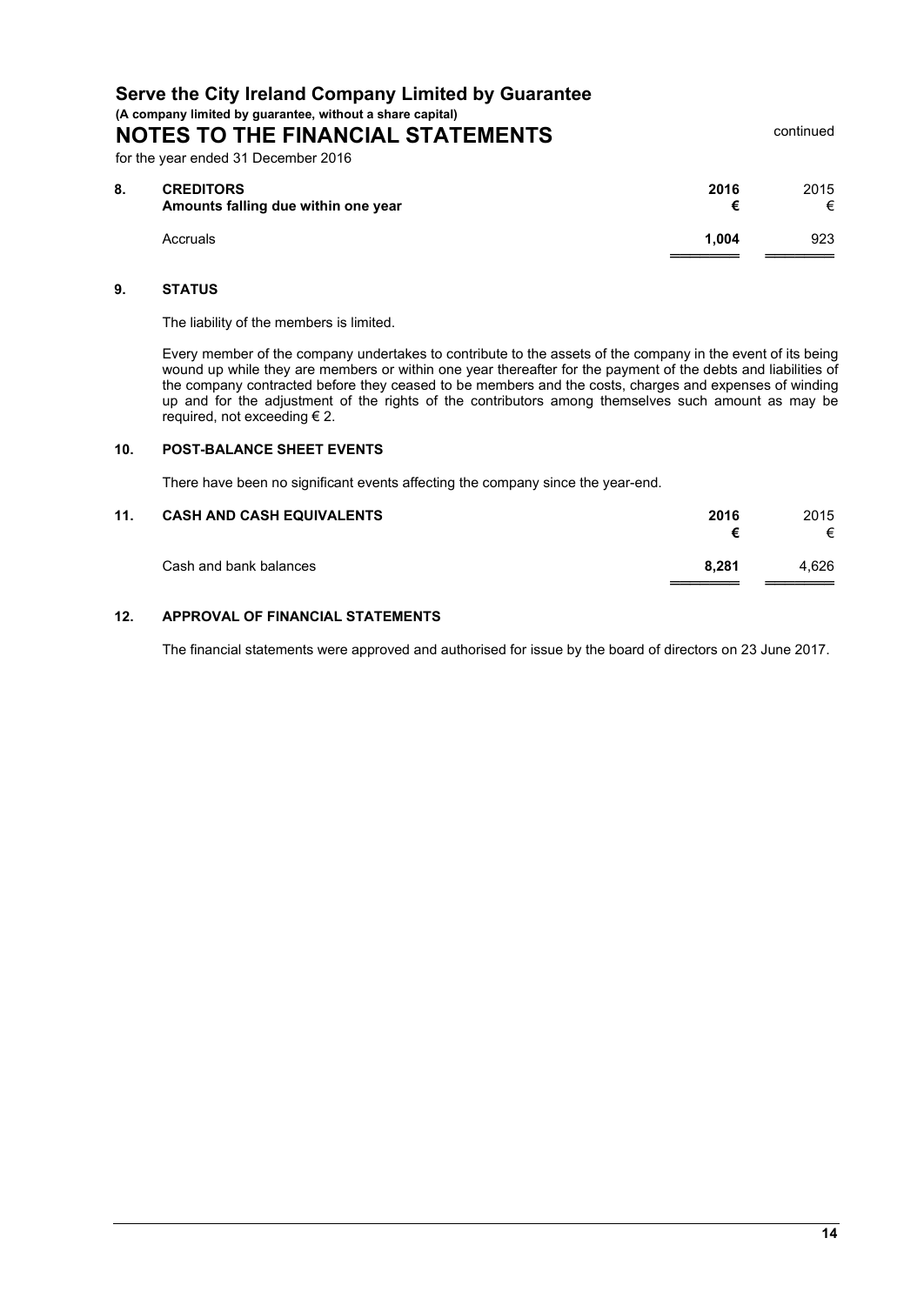**(A company limited by guarantee, without a share capital)**

**NOTES TO THE FINANCIAL STATEMENTS** 

for the year ended 31 December 2016

| 8. | <b>CREDITORS</b><br>Amounts falling due within one year | 2016  | 2015<br>⊭ |  |
|----|---------------------------------------------------------|-------|-----------|--|
|    | Accruals                                                | 1.004 | 923       |  |

#### **9. STATUS**

The liability of the members is limited.

Every member of the company undertakes to contribute to the assets of the company in the event of its being wound up while they are members or within one year thereafter for the payment of the debts and liabilities of the company contracted before they ceased to be members and the costs, charges and expenses of winding up and for the adjustment of the rights of the contributors among themselves such amount as may be required, not exceeding € 2.

#### **10. POST-BALANCE SHEET EVENTS**

There have been no significant events affecting the company since the year-end.

## **11. CASH AND CASH EQUIVALENTS 2016** 2015

Cash and bank balances **8,281** 4,626 ═══════ ═══════

#### **12. APPROVAL OF FINANCIAL STATEMENTS**

The financial statements were approved and authorised for issue by the board of directors on 23 June 2017.

**€** €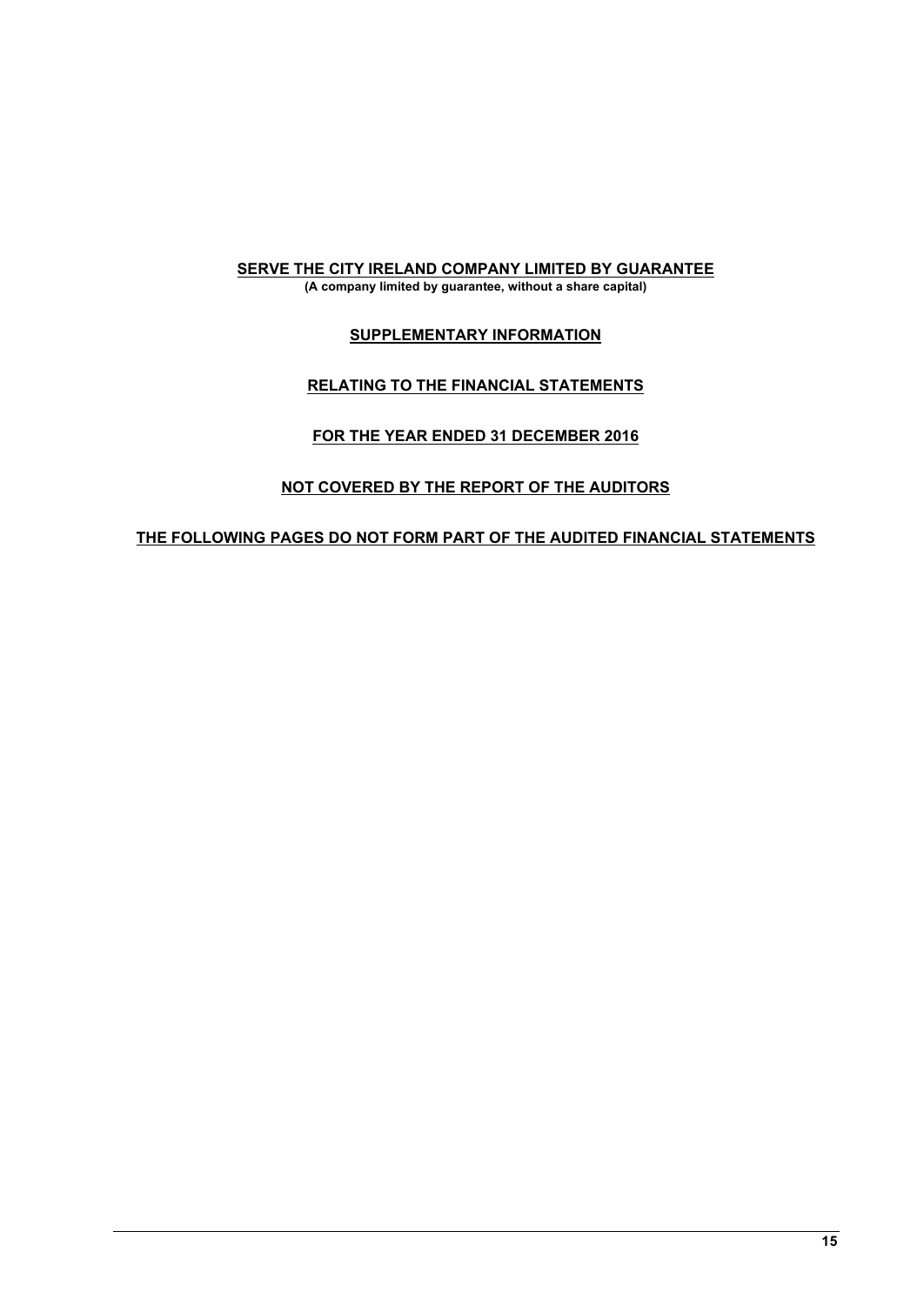## **SERVE THE CITY IRELAND COMPANY LIMITED BY GUARANTEE**

**(A company limited by guarantee, without a share capital)**

### **SUPPLEMENTARY INFORMATION**

### **RELATING TO THE FINANCIAL STATEMENTS**

# **FOR THE YEAR ENDED 31 DECEMBER 2016**

# **NOT COVERED BY THE REPORT OF THE AUDITORS**

### **THE FOLLOWING PAGES DO NOT FORM PART OF THE AUDITED FINANCIAL STATEMENTS**